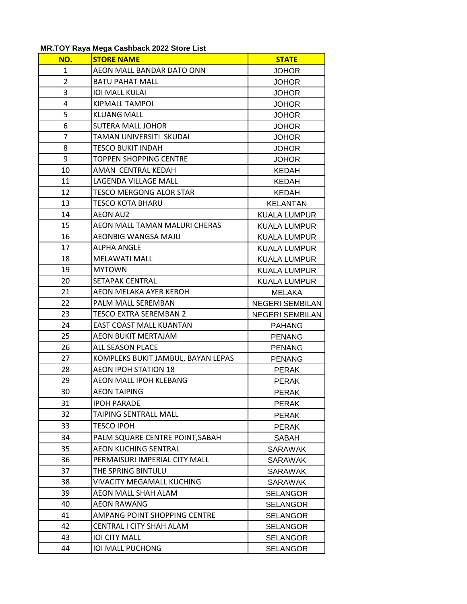## **MR.TOY Raya Mega Cashback 2022 Store List**

| NO.            | <b>STORE NAME</b>                  | <b>STATE</b>           |
|----------------|------------------------------------|------------------------|
| 1              | AEON MALL BANDAR DATO ONN          | <b>JOHOR</b>           |
| $\overline{2}$ | <b>BATU PAHAT MALL</b>             | <b>JOHOR</b>           |
| 3              | <b>IOI MALL KULAI</b>              | <b>JOHOR</b>           |
| 4              | KIPMALL TAMPOI                     | <b>JOHOR</b>           |
| 5              | <b>KLUANG MALL</b>                 | <b>JOHOR</b>           |
| 6              | <b>SUTERA MALL JOHOR</b>           | <b>JOHOR</b>           |
| 7              | TAMAN UNIVERSITI SKUDAI            | <b>JOHOR</b>           |
| 8              | <b>TESCO BUKIT INDAH</b>           | <b>JOHOR</b>           |
| 9              | <b>TOPPEN SHOPPING CENTRE</b>      | <b>JOHOR</b>           |
| 10             | AMAN CENTRAL KEDAH                 | <b>KEDAH</b>           |
| 11             | LAGENDA VILLAGE MALL               | <b>KEDAH</b>           |
| 12             | <b>TESCO MERGONG ALOR STAR</b>     | <b>KEDAH</b>           |
| 13             | TESCO KOTA BHARU                   | <b>KELANTAN</b>        |
| 14             | <b>AEON AU2</b>                    | <b>KUALA LUMPUR</b>    |
| 15             | AEON MALL TAMAN MALURI CHERAS      | <b>KUALA LUMPUR</b>    |
| 16             | AEONBIG WANGSA MAJU                | <b>KUALA LUMPUR</b>    |
| 17             | <b>ALPHA ANGLE</b>                 | <b>KUALA LUMPUR</b>    |
| 18             | <b>MELAWATI MALL</b>               | <b>KUALA LUMPUR</b>    |
| 19             | <b>MYTOWN</b>                      | KUALA LUMPUR           |
| 20             | SETAPAK CENTRAL                    | <b>KUALA LUMPUR</b>    |
| 21             | AEON MELAKA AYER KEROH             | <b>MELAKA</b>          |
| 22             | PALM MALL SEREMBAN                 | <b>NEGERI SEMBILAN</b> |
| 23             | <b>TESCO EXTRA SEREMBAN 2</b>      | <b>NEGERI SEMBILAN</b> |
| 24             | <b>EAST COAST MALL KUANTAN</b>     | <b>PAHANG</b>          |
| 25             | <b>AEON BUKIT MERTAJAM</b>         | <b>PENANG</b>          |
| 26             | <b>ALL SEASON PLACE</b>            | <b>PENANG</b>          |
| 27             | KOMPLEKS BUKIT JAMBUL, BAYAN LEPAS | <b>PENANG</b>          |
| 28             | <b>AEON IPOH STATION 18</b>        | <b>PERAK</b>           |
| 29             | <b>AEON MALL IPOH KLEBANG</b>      | <b>PERAK</b>           |
| 30             | <b>AEON TAIPING</b>                | <b>PERAK</b>           |
| 31             | <b>IPOH PARADE</b>                 | <b>PERAK</b>           |
| 32             | <b>TAIPING SENTRALL MALL</b>       | <b>PERAK</b>           |
| 33             | <b>TESCO IPOH</b>                  | <b>PERAK</b>           |
| 34             | PALM SQUARE CENTRE POINT, SABAH    | <b>SABAH</b>           |
| 35             | <b>AEON KUCHING SENTRAL</b>        | SARAWAK                |
| 36             | PERMAISURI IMPERIAL CITY MALL      | <b>SARAWAK</b>         |
| 37             | THE SPRING BINTULU                 | <b>SARAWAK</b>         |
| 38             | <b>VIVACITY MEGAMALL KUCHING</b>   | <b>SARAWAK</b>         |
| 39             | <b>AEON MALL SHAH ALAM</b>         | <b>SELANGOR</b>        |
| 40             | AEON RAWANG                        | <b>SELANGOR</b>        |
| 41             | AMPANG POINT SHOPPING CENTRE       | <b>SELANGOR</b>        |
| 42             | CENTRAL I CITY SHAH ALAM           | <b>SELANGOR</b>        |
| 43             | <b>IOI CITY MALL</b>               | <b>SELANGOR</b>        |
| 44             | IOI MALL PUCHONG                   | <b>SELANGOR</b>        |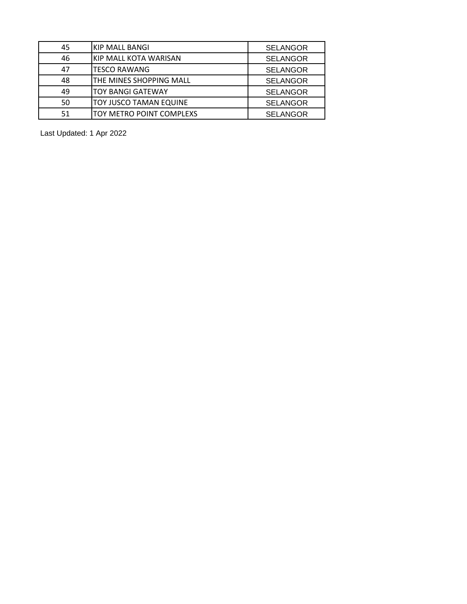| 45 | <b>KIP MALL BANGI</b>        | <b>SELANGOR</b> |
|----|------------------------------|-----------------|
| 46 | <b>KIP MALL KOTA WARISAN</b> | <b>SELANGOR</b> |
| 47 | <b>TESCO RAWANG</b>          | <b>SELANGOR</b> |
| 48 | THE MINES SHOPPING MALL      | <b>SELANGOR</b> |
| 49 | <b>TOY BANGI GATEWAY</b>     | <b>SELANGOR</b> |
| 50 | TOY JUSCO TAMAN EQUINE       | <b>SELANGOR</b> |
| 51 | TOY METRO POINT COMPLEXS     | <b>SELANGOR</b> |

Last Updated: 1 Apr 2022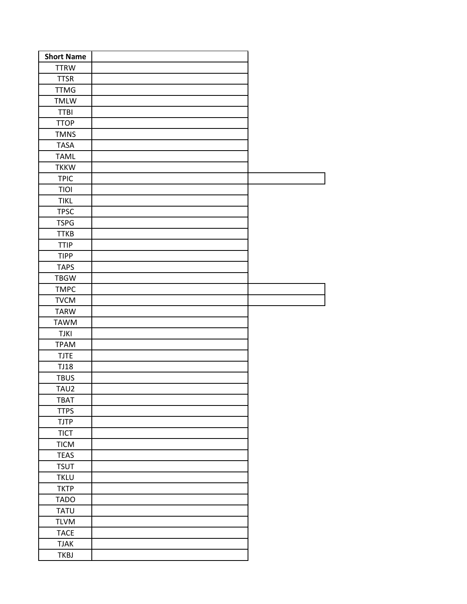| <b>Short Name</b> |  |  |
|-------------------|--|--|
| <b>TTRW</b>       |  |  |
| <b>TTSR</b>       |  |  |
| <b>TTMG</b>       |  |  |
| TMLW              |  |  |
| <b>TTBI</b>       |  |  |
| <b>TTOP</b>       |  |  |
| <b>TMNS</b>       |  |  |
| <b>TASA</b>       |  |  |
| <b>TAML</b>       |  |  |
| <b>TKKW</b>       |  |  |
| <b>TPIC</b>       |  |  |
| TIOI              |  |  |
| <b>TIKL</b>       |  |  |
| <b>TPSC</b>       |  |  |
| <b>TSPG</b>       |  |  |
| <b>TTKB</b>       |  |  |
| <b>TTIP</b>       |  |  |
| <b>TIPP</b>       |  |  |
| <b>TAPS</b>       |  |  |
| <b>TBGW</b>       |  |  |
| <b>TMPC</b>       |  |  |
| <b>TVCM</b>       |  |  |
| <b>TARW</b>       |  |  |
| <b>TAWM</b>       |  |  |
| <b>TJKI</b>       |  |  |
| <b>TPAM</b>       |  |  |
| <b>TJTE</b>       |  |  |
| <b>TJ18</b>       |  |  |
| <b>TBUS</b>       |  |  |
| TAU2              |  |  |
| <b>TBAT</b>       |  |  |
| <b>TTPS</b>       |  |  |
| <b>TJTP</b>       |  |  |
| <b>TICT</b>       |  |  |
| <b>TICM</b>       |  |  |
| <b>TEAS</b>       |  |  |
| <b>TSUT</b>       |  |  |
| <b>TKLU</b>       |  |  |
| <b>TKTP</b>       |  |  |
| <b>TADO</b>       |  |  |
| <b>TATU</b>       |  |  |
| <b>TLVM</b>       |  |  |
| <b>TACE</b>       |  |  |
| <b>TJAK</b>       |  |  |
| <b>TKBJ</b>       |  |  |
|                   |  |  |